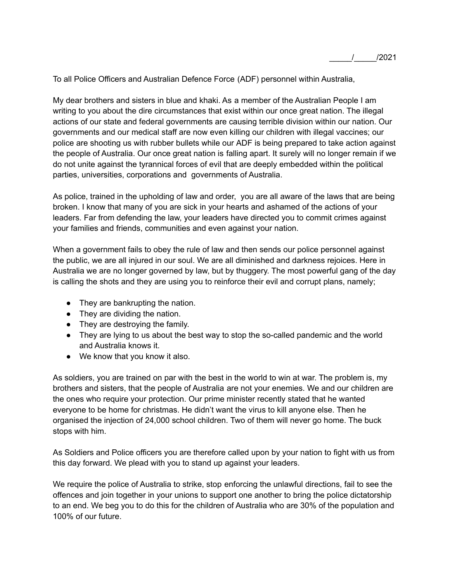To all Police Officers and Australian Defence Force (ADF) personnel within Australia,

My dear brothers and sisters in blue and khaki. As a member of the Australian People I am writing to you about the dire circumstances that exist within our once great nation. The illegal actions of our state and federal governments are causing terrible division within our nation. Our governments and our medical staff are now even killing our children with illegal vaccines; our police are shooting us with rubber bullets while our ADF is being prepared to take action against the people of Australia. Our once great nation is falling apart. It surely will no longer remain if we do not unite against the tyrannical forces of evil that are deeply embedded within the political parties, universities, corporations and governments of Australia.

As police, trained in the upholding of law and order, you are all aware of the laws that are being broken. I know that many of you are sick in your hearts and ashamed of the actions of your leaders. Far from defending the law, your leaders have directed you to commit crimes against your families and friends, communities and even against your nation.

When a government fails to obey the rule of law and then sends our police personnel against the public, we are all injured in our soul. We are all diminished and darkness rejoices. Here in Australia we are no longer governed by law, but by thuggery. The most powerful gang of the day is calling the shots and they are using you to reinforce their evil and corrupt plans, namely;

- They are bankrupting the nation.
- They are dividing the nation.
- They are destroying the family.
- They are lying to us about the best way to stop the so-called pandemic and the world and Australia knows it.
- We know that you know it also.

As soldiers, you are trained on par with the best in the world to win at war. The problem is, my brothers and sisters, that the people of Australia are not your enemies. We and our children are the ones who require your protection. Our prime minister recently stated that he wanted everyone to be home for christmas. He didn't want the virus to kill anyone else. Then he organised the injection of 24,000 school children. Two of them will never go home. The buck stops with him.

As Soldiers and Police officers you are therefore called upon by your nation to fight with us from this day forward. We plead with you to stand up against your leaders.

We require the police of Australia to strike, stop enforcing the unlawful directions, fail to see the offences and join together in your unions to support one another to bring the police dictatorship to an end. We beg you to do this for the children of Australia who are 30% of the population and 100% of our future.